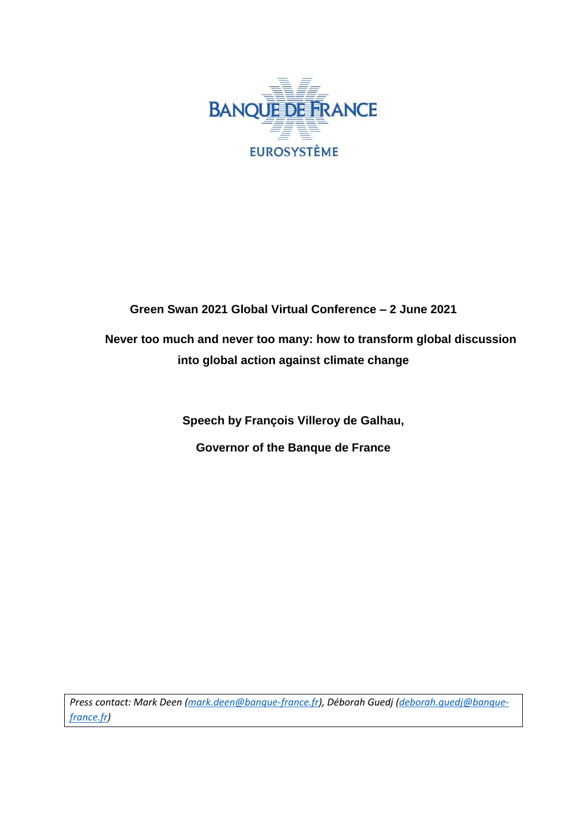

## **Green Swan 2021 Global Virtual Conference – 2 June 2021**

**Never too much and never too many: how to transform global discussion into global action against climate change**

**Speech by François Villeroy de Galhau,**

**Governor of the Banque de France**

*Press contact: Mark Deen [\(mark.deen@banque-france.fr\)](mailto:mark.deen@banque-france.fr), Déborah Guedj [\(deborah.guedj@banque](mailto:deborah.guedj@banque-france.fr)[france.fr\)](mailto:deborah.guedj@banque-france.fr)*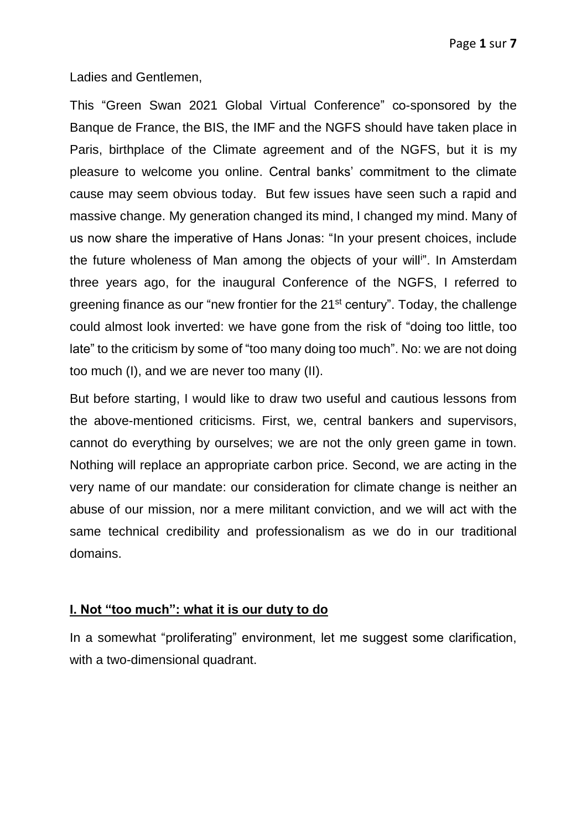Ladies and Gentlemen,

This "Green Swan 2021 Global Virtual Conference" co-sponsored by the Banque de France, the BIS, the IMF and the NGFS should have taken place in Paris, birthplace of the Climate agreement and of the NGFS, but it is my pleasure to welcome you online. Central banks' commitment to the climate cause may seem obvious today. But few issues have seen such a rapid and massive change. My generation changed its mind, I changed my mind. Many of us now share the imperative of Hans Jonas: "In your present choices, include the future wholeness of Man among the objects of your will<sup>in</sup>. In Amsterdam three years ago, for the inaugural Conference of the NGFS, I referred to greening finance as our "new frontier for the 21<sup>st</sup> century". Today, the challenge could almost look inverted: we have gone from the risk of "doing too little, too late" to the criticism by some of "too many doing too much". No: we are not doing too much (I), and we are never too many (II).

But before starting, I would like to draw two useful and cautious lessons from the above-mentioned criticisms. First, we, central bankers and supervisors, cannot do everything by ourselves; we are not the only green game in town. Nothing will replace an appropriate carbon price. Second, we are acting in the very name of our mandate: our consideration for climate change is neither an abuse of our mission, nor a mere militant conviction, and we will act with the same technical credibility and professionalism as we do in our traditional domains.

## **I. Not "too much": what it is our duty to do**

In a somewhat "proliferating" environment, let me suggest some clarification, with a two-dimensional quadrant.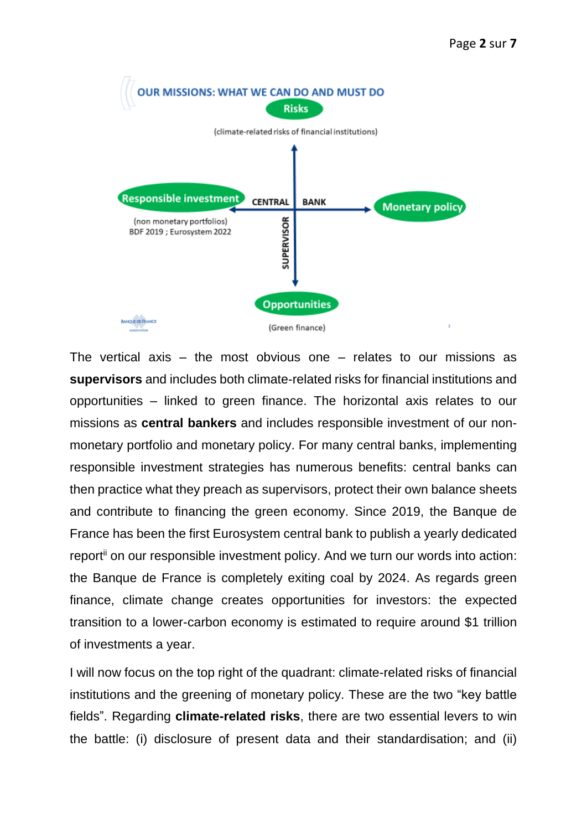

The vertical axis – the most obvious one – relates to our missions as **supervisors** and includes both climate-related risks for financial institutions and opportunities – linked to green finance. The horizontal axis relates to our missions as **central bankers** and includes responsible investment of our nonmonetary portfolio and monetary policy. For many central banks, implementing responsible investment strategies has numerous benefits: central banks can then practice what they preach as supervisors, protect their own balance sheets and contribute to financing the green economy. Since 2019, the Banque de France has been the first Eurosystem central bank to publish a yearly dedicated report<sup>ii</sup> on our responsible investment policy. And we turn our words into action: the Banque de France is completely exiting coal by 2024. As regards green finance, climate change creates opportunities for investors: the expected transition to a lower-carbon economy is estimated to require around \$1 trillion of investments a year.

I will now focus on the top right of the quadrant: climate-related risks of financial institutions and the greening of monetary policy. These are the two "key battle fields". Regarding **climate-related risks**, there are two essential levers to win the battle: (i) disclosure of present data and their standardisation; and (ii)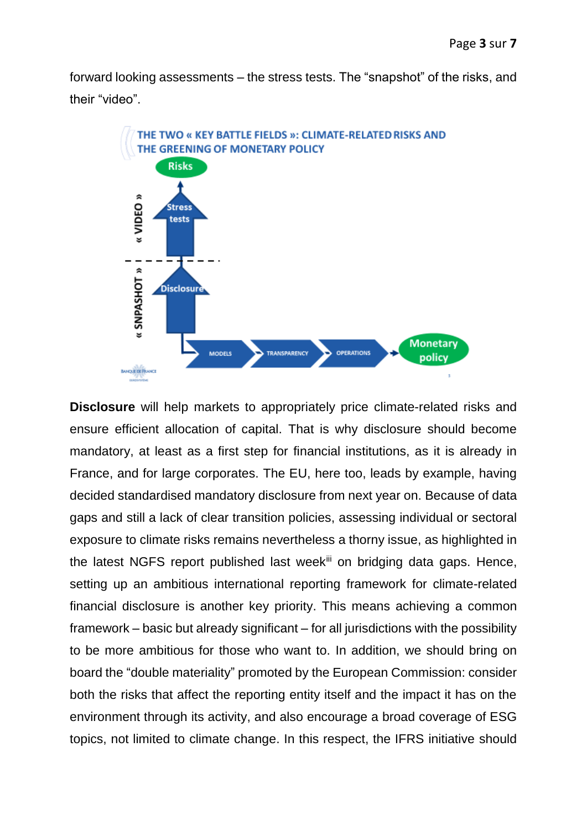forward looking assessments – the stress tests. The "snapshot" of the risks, and their "video".



**Disclosure** will help markets to appropriately price climate-related risks and ensure efficient allocation of capital. That is why disclosure should become mandatory, at least as a first step for financial institutions, as it is already in France, and for large corporates. The EU, here too, leads by example, having decided standardised mandatory disclosure from next year on. Because of data gaps and still a lack of clear transition policies, assessing individual or sectoral exposure to climate risks remains nevertheless a thorny issue, as highlighted in the latest NGFS report published last week<sup>iii</sup> on bridging data gaps. Hence, setting up an ambitious international reporting framework for climate-related financial disclosure is another key priority. This means achieving a common framework – basic but already significant – for all jurisdictions with the possibility to be more ambitious for those who want to. In addition, we should bring on board the "double materiality" promoted by the European Commission: consider both the risks that affect the reporting entity itself and the impact it has on the environment through its activity, and also encourage a broad coverage of ESG topics, not limited to climate change. In this respect, the IFRS initiative should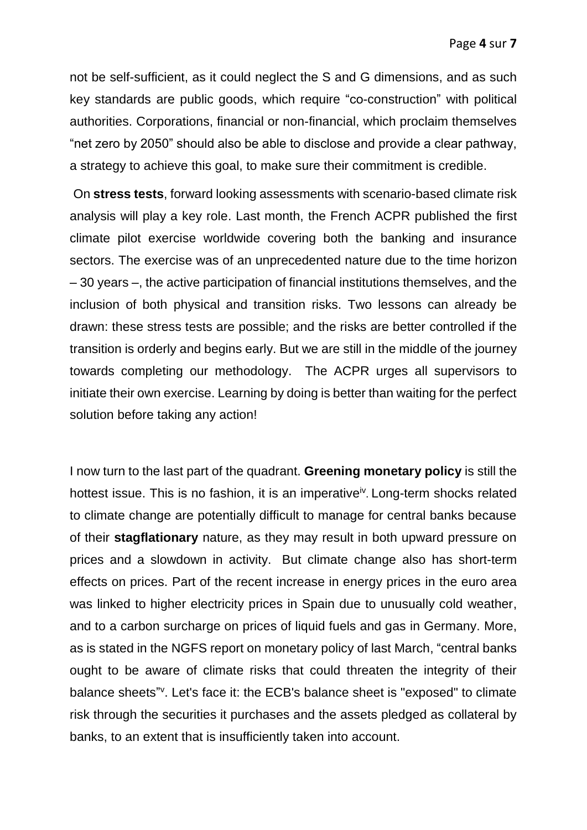not be self-sufficient, as it could neglect the S and G dimensions, and as such key standards are public goods, which require "co-construction" with political authorities. Corporations, financial or non-financial, which proclaim themselves "net zero by 2050" should also be able to disclose and provide a clear pathway, a strategy to achieve this goal, to make sure their commitment is credible.

On **stress tests**, forward looking assessments with scenario-based climate risk analysis will play a key role. Last month, the French ACPR published the first climate pilot exercise worldwide covering both the banking and insurance sectors. The exercise was of an unprecedented nature due to the time horizon – 30 years –, the active participation of financial institutions themselves, and the inclusion of both physical and transition risks. Two lessons can already be drawn: these stress tests are possible; and the risks are better controlled if the transition is orderly and begins early. But we are still in the middle of the journey towards completing our methodology. The ACPR urges all supervisors to initiate their own exercise. Learning by doing is better than waiting for the perfect solution before taking any action!

I now turn to the last part of the quadrant. **Greening monetary policy** is still the hottest issue. This is no fashion, it is an imperative<sup>iv</sup>. Long-term shocks related to climate change are potentially difficult to manage for central banks because of their **stagflationary** nature, as they may result in both upward pressure on prices and a slowdown in activity. But climate change also has short-term effects on prices. Part of the recent increase in energy prices in the euro area was linked to higher electricity prices in Spain due to unusually cold weather, and to a carbon surcharge on prices of liquid fuels and gas in Germany. More, as is stated in the NGFS report on monetary policy of last March, "central banks ought to be aware of climate risks that could threaten the integrity of their balance sheets"<sup>v</sup>. Let's face it: the ECB's balance sheet is "exposed" to climate risk through the securities it purchases and the assets pledged as collateral by banks, to an extent that is insufficiently taken into account.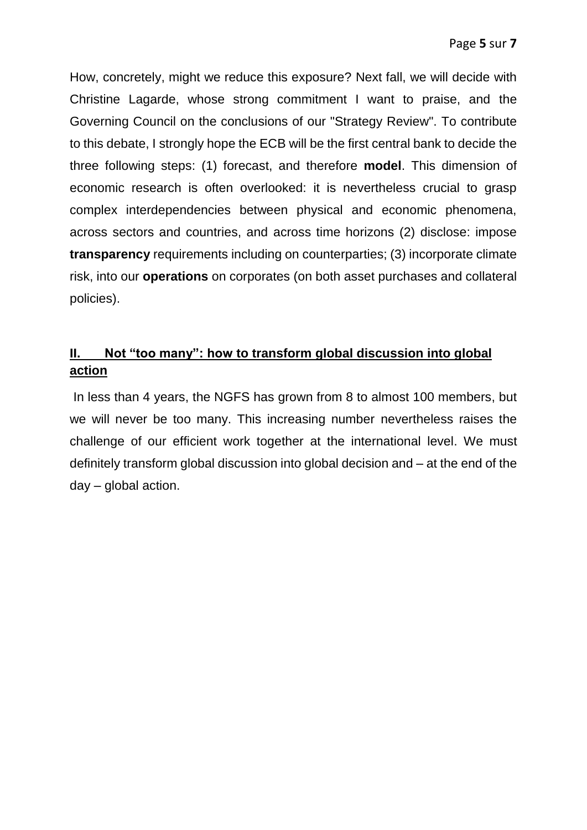How, concretely, might we reduce this exposure? Next fall, we will decide with Christine Lagarde, whose strong commitment I want to praise, and the Governing Council on the conclusions of our "Strategy Review". To contribute to this debate, I strongly hope the ECB will be the first central bank to decide the three following steps: (1) forecast, and therefore **model**. This dimension of economic research is often overlooked: it is nevertheless crucial to grasp complex interdependencies between physical and economic phenomena, across sectors and countries, and across time horizons (2) disclose: impose **transparency** requirements including on counterparties; (3) incorporate climate risk, into our **operations** on corporates (on both asset purchases and collateral policies).

## **II. Not "too many": how to transform global discussion into global action**

In less than 4 years, the NGFS has grown from 8 to almost 100 members, but we will never be too many. This increasing number nevertheless raises the challenge of our efficient work together at the international level. We must definitely transform global discussion into global decision and – at the end of the day – global action.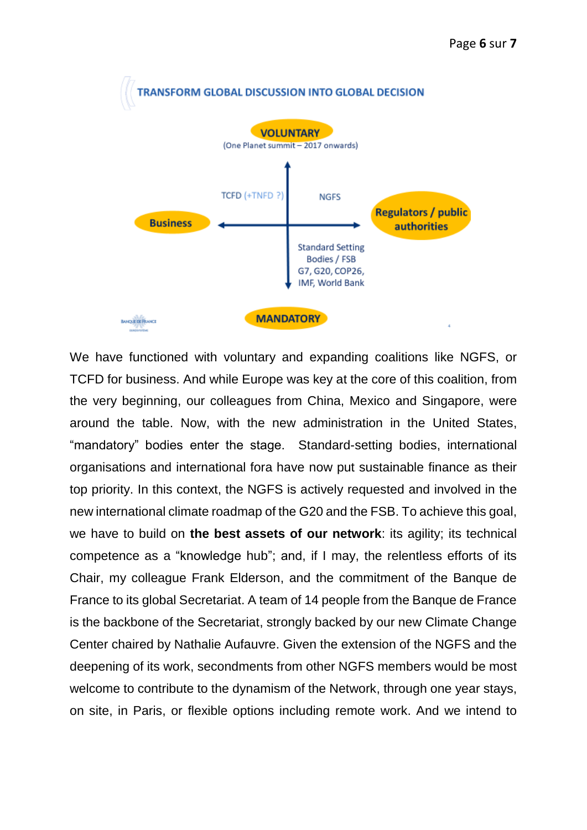

We have functioned with voluntary and expanding coalitions like NGFS, or TCFD for business. And while Europe was key at the core of this coalition, from the very beginning, our colleagues from China, Mexico and Singapore, were around the table. Now, with the new administration in the United States, "mandatory" bodies enter the stage. Standard-setting bodies, international organisations and international fora have now put sustainable finance as their top priority. In this context, the NGFS is actively requested and involved in the new international climate roadmap of the G20 and the FSB. To achieve this goal, we have to build on **the best assets of our network**: its agility; its technical competence as a "knowledge hub"; and, if I may, the relentless efforts of its Chair, my colleague Frank Elderson, and the commitment of the Banque de France to its global Secretariat. A team of 14 people from the Banque de France is the backbone of the Secretariat, strongly backed by our new Climate Change Center chaired by Nathalie Aufauvre. Given the extension of the NGFS and the deepening of its work, secondments from other NGFS members would be most welcome to contribute to the dynamism of the Network, through one year stays, on site, in Paris, or flexible options including remote work. And we intend to